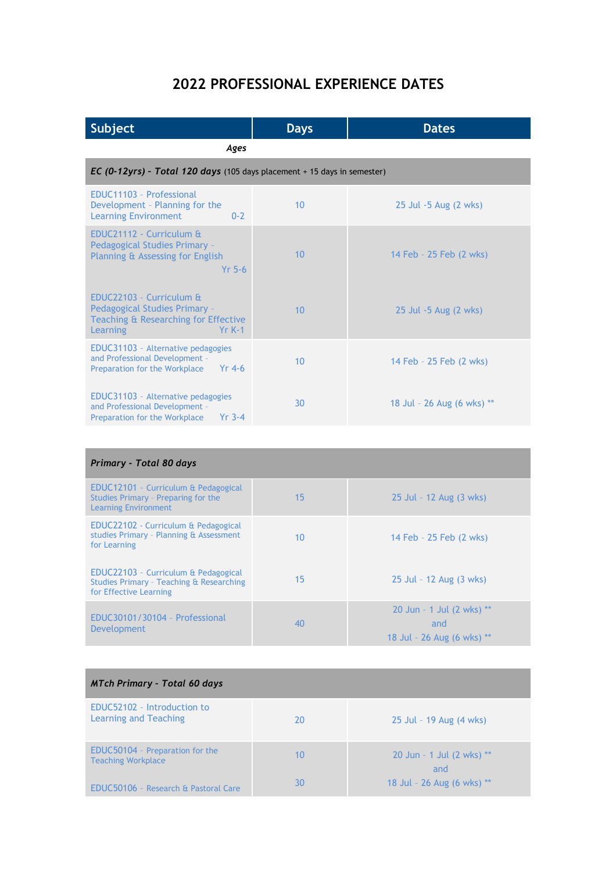## **2022 PROFESSIONAL EXPERIENCE DATES**

| Subject                                                                                                                  | <b>Days</b> | <b>Dates</b>               |  |
|--------------------------------------------------------------------------------------------------------------------------|-------------|----------------------------|--|
| Ages                                                                                                                     |             |                            |  |
| EC (0-12yrs) - Total 120 days (105 days placement + 15 days in semester)                                                 |             |                            |  |
| EDUC11103 - Professional<br>Development - Planning for the<br><b>Learning Environment</b><br>$0 - 2$                     | 10          | 25 Jul -5 Aug (2 wks)      |  |
| EDUC21112 - Curriculum &<br>Pedagogical Studies Primary -<br>Planning & Assessing for English<br>$Yr$ 5-6                | 10          | 14 Feb - 25 Feb (2 wks)    |  |
| EDUC22103 - Curriculum &<br>Pedagogical Studies Primary -<br>Teaching & Researching for Effective<br>Learning<br>$YrK-1$ | 10          | 25 Jul -5 Aug (2 wks)      |  |
| EDUC31103 - Alternative pedagogies<br>and Professional Development -<br>$Yr$ 4-6<br>Preparation for the Workplace        | 10          | 14 Feb - 25 Feb (2 wks)    |  |
| EDUC31103 - Alternative pedagogies<br>and Professional Development -<br>$Yr$ 3-4<br>Preparation for the Workplace        | 30          | 18 Jul - 26 Aug (6 wks) ** |  |

| Primary - Total 80 days                                                                                    |    |                                                                |  |
|------------------------------------------------------------------------------------------------------------|----|----------------------------------------------------------------|--|
| EDUC12101 - Curriculum & Pedagogical<br>Studies Primary - Preparing for the<br><b>Learning Environment</b> | 15 | 25 Jul - 12 Aug (3 wks)                                        |  |
| EDUC22102 - Curriculum & Pedagogical<br>studies Primary - Planning & Assessment<br>for Learning            | 10 | 14 Feb - 25 Feb (2 wks)                                        |  |
| EDUC22103 - Curriculum & Pedagogical<br>Studies Primary - Teaching & Researching<br>for Effective Learning | 15 | 25 Jul - 12 Aug (3 wks)                                        |  |
| EDUC30101/30104 - Professional<br>Development                                                              | 40 | 20 Jun - 1 Jul (2 wks) **<br>and<br>18 Jul - 26 Aug (6 wks) ** |  |

| <b>MTch Primary - Total 60 days</b>                          |    |                                  |  |
|--------------------------------------------------------------|----|----------------------------------|--|
| EDUC52102 - Introduction to<br>Learning and Teaching         | 20 | 25 Jul - 19 Aug (4 wks)          |  |
| EDUC50104 - Preparation for the<br><b>Teaching Workplace</b> | 10 | 20 Jun - 1 Jul (2 wks) **<br>and |  |
| EDUC50106 - Research & Pastoral Care                         | 30 | 18 Jul - 26 Aug (6 wks) **       |  |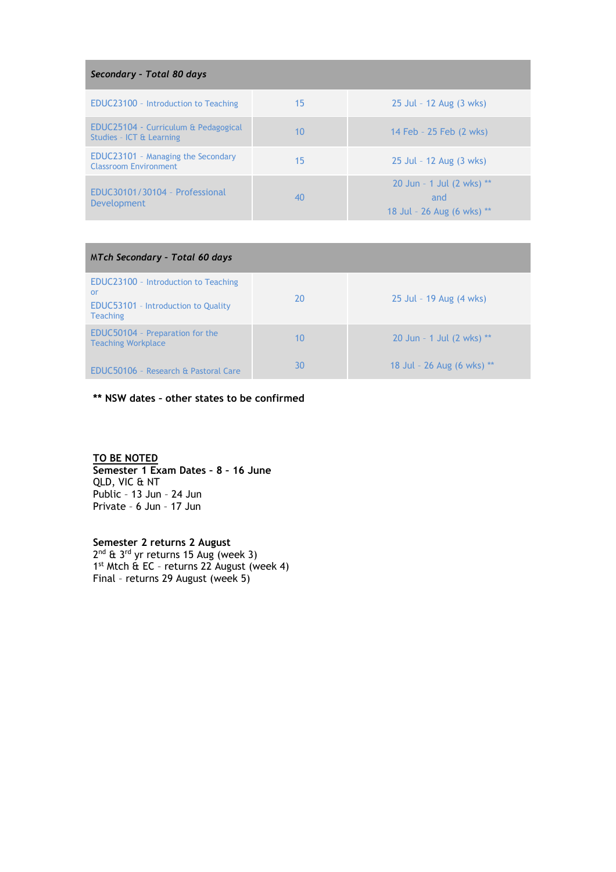| Secondary - Total 80 days                                                 |    |                                                                |  |
|---------------------------------------------------------------------------|----|----------------------------------------------------------------|--|
| EDUC23100 - Introduction to Teaching                                      | 15 | 25 Jul - 12 Aug (3 wks)                                        |  |
| EDUC25104 - Curriculum & Pedagogical<br>Studies - ICT & Learning          | 10 | 14 Feb - 25 Feb (2 wks)                                        |  |
| <b>EDUC23101</b> - Managing the Secondary<br><b>Classroom Environment</b> | 15 | 25 Jul - 12 Aug (3 wks)                                        |  |
| EDUC30101/30104 - Professional<br><b>Development</b>                      | 40 | 20 Jun - 1 Jul (2 wks) **<br>and<br>18 Jul - 26 Aug (6 wks) ** |  |

| MTch Secondary - Total 60 days                                                                              |    |                              |  |
|-------------------------------------------------------------------------------------------------------------|----|------------------------------|--|
| EDUC23100 - Introduction to Teaching<br>or<br><b>EDUC53101</b> - Introduction to Quality<br><b>Teaching</b> | 20 | 25 Jul - 19 Aug (4 wks)      |  |
| EDUC50104 - Preparation for the<br><b>Teaching Workplace</b>                                                | 10 | 20 Jun - 1 Jul (2 wks) **    |  |
| EDUC50106 - Research & Pastoral Care                                                                        | 30 | 18 Jul - 26 Aug (6 wks) $**$ |  |

**\*\* NSW dates – other states to be confirmed**

## **TO BE NOTED**

**Semester 1 Exam Dates – 8 – 16 June** QLD, VIC & NT Public – 13 Jun – 24 Jun Private – 6 Jun – 17 Jun

**Semester 2 returns 2 August** 2<sup>nd</sup> & 3<sup>rd</sup> yr returns 15 Aug (week 3) 1 st Mtch & EC – returns 22 August (week 4) Final – returns 29 August (week 5)